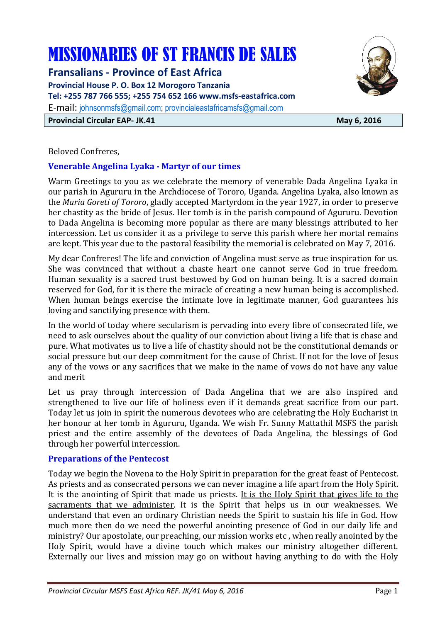# MISSIONARIES OF ST FRANCIS DE SALES

**Fransalians - Province of East Africa Provincial House P. O. Box 12 Morogoro Tanzania Tel: +255 787 766 555; +255 754 652 166 www.msfs-eastafrica.com**  E-mail: johnsonmsfs@gmail.com; provincialeastafricamsfs@gmail.com **Provincial Circular EAP- JK.41** May 6, 2016

#### Beloved Confreres,

#### **Venerable Angelina Lyaka - Martyr of our times**

Warm Greetings to you as we celebrate the memory of venerable Dada Angelina Lyaka in our parish in Agururu in the Archdiocese of Tororo, Uganda. Angelina Lyaka, also known as the *Maria Goreti of Tororo*, gladly accepted Martyrdom in the year 1927, in order to preserve her chastity as the bride of Jesus. Her tomb is in the parish compound of Agururu. Devotion to Dada Angelina is becoming more popular as there are many blessings attributed to her intercession. Let us consider it as a privilege to serve this parish where her mortal remains are kept. This year due to the pastoral feasibility the memorial is celebrated on May 7, 2016.

My dear Confreres! The life and conviction of Angelina must serve as true inspiration for us. She was convinced that without a chaste heart one cannot serve God in true freedom. Human sexuality is a sacred trust bestowed by God on human being. It is a sacred domain reserved for God, for it is there the miracle of creating a new human being is accomplished. When human beings exercise the intimate love in legitimate manner, God guarantees his loving and sanctifying presence with them.

In the world of today where secularism is pervading into every fibre of consecrated life, we need to ask ourselves about the quality of our conviction about living a life that is chase and pure. What motivates us to live a life of chastity should not be the constitutional demands or social pressure but our deep commitment for the cause of Christ. If not for the love of Jesus any of the vows or any sacrifices that we make in the name of vows do not have any value and merit

Let us pray through intercession of Dada Angelina that we are also inspired and strengthened to live our life of holiness even if it demands great sacrifice from our part. Today let us join in spirit the numerous devotees who are celebrating the Holy Eucharist in her honour at her tomb in Agururu, Uganda. We wish Fr. Sunny Mattathil MSFS the parish priest and the entire assembly of the devotees of Dada Angelina, the blessings of God through her powerful intercession.

#### **Preparations of the Pentecost**

Today we begin the Novena to the Holy Spirit in preparation for the great feast of Pentecost. As priests and as consecrated persons we can never imagine a life apart from the Holy Spirit. It is the anointing of Spirit that made us priests. It is the Holy Spirit that gives life to the sacraments that we administer. It is the Spirit that helps us in our weaknesses. We understand that even an ordinary Christian needs the Spirit to sustain his life in God. How much more then do we need the powerful anointing presence of God in our daily life and ministry? Our apostolate, our preaching, our mission works etc , when really anointed by the Holy Spirit, would have a divine touch which makes our ministry altogether different. Externally our lives and mission may go on without having anything to do with the Holy

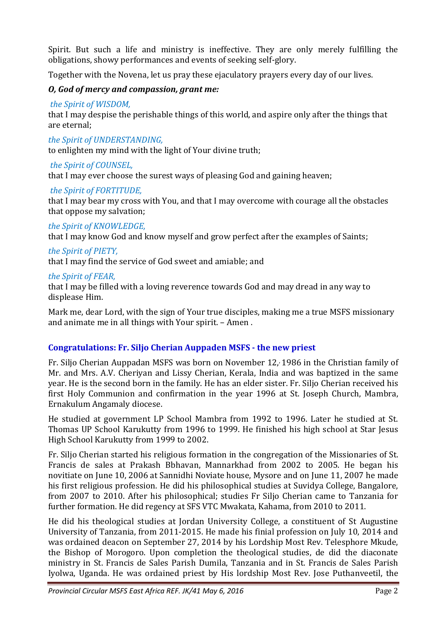Spirit. But such a life and ministry is ineffective. They are only merely fulfilling the obligations, showy performances and events of seeking self-glory.

Together with the Novena, let us pray these ejaculatory prayers every day of our lives.

# *O, God of mercy and compassion, grant me:*

# *the Spirit of WISDOM,*

that I may despise the perishable things of this world, and aspire only after the things that are eternal;

*the Spirit of UNDERSTANDING,* 

to enlighten my mind with the light of Your divine truth;

# *the Spirit of COUNSEL,*

that I may ever choose the surest ways of pleasing God and gaining heaven;

# *the Spirit of FORTITUDE,*

that I may bear my cross with You, and that I may overcome with courage all the obstacles that oppose my salvation;

# *the Spirit of KNOWLEDGE,*

that I may know God and know myself and grow perfect after the examples of Saints;

# *the Spirit of PIETY,*

that I may find the service of God sweet and amiable; and

# *the Spirit of FEAR,*

that I may be filled with a loving reverence towards God and may dread in any way to displease Him.

Mark me, dear Lord, with the sign of Your true disciples, making me a true MSFS missionary and animate me in all things with Your spirit. – Amen .

# **Congratulations: Fr. Siljo Cherian Auppaden MSFS - the new priest**

Fr. Siljo Cherian Auppadan MSFS was born on November 12, 1986 in the Christian family of Mr. and Mrs. A.V. Cheriyan and Lissy Cherian, Kerala, India and was baptized in the same year. He is the second born in the family. He has an elder sister. Fr. Siljo Cherian received his first Holy Communion and confirmation in the year 1996 at St. Joseph Church, Mambra, Ernakulum Angamaly diocese.

He studied at government LP School Mambra from 1992 to 1996. Later he studied at St. Thomas UP School Karukutty from 1996 to 1999. He finished his high school at Star Jesus High School Karukutty from 1999 to 2002.

Fr. Siljo Cherian started his religious formation in the congregation of the Missionaries of St. Francis de sales at Prakash Bbhavan, Mannarkhad from 2002 to 2005. He began his novitiate on June 10, 2006 at Sannidhi Noviate house, Mysore and on June 11, 2007 he made his first religious profession. He did his philosophical studies at Suvidya College, Bangalore, from 2007 to 2010. After his philosophical; studies Fr Siljo Cherian came to Tanzania for further formation. He did regency at SFS VTC Mwakata, Kahama, from 2010 to 2011.

He did his theological studies at Jordan University College, a constituent of St Augustine University of Tanzania, from 2011-2015. He made his finial profession on July 10, 2014 and was ordained deacon on September 27, 2014 by his Lordship Most Rev. Telesphore Mkude, the Bishop of Morogoro. Upon completion the theological studies, de did the diaconate ministry in St. Francis de Sales Parish Dumila, Tanzania and in St. Francis de Sales Parish Iyolwa, Uganda. He was ordained priest by His lordship Most Rev. Jose Puthanveetil, the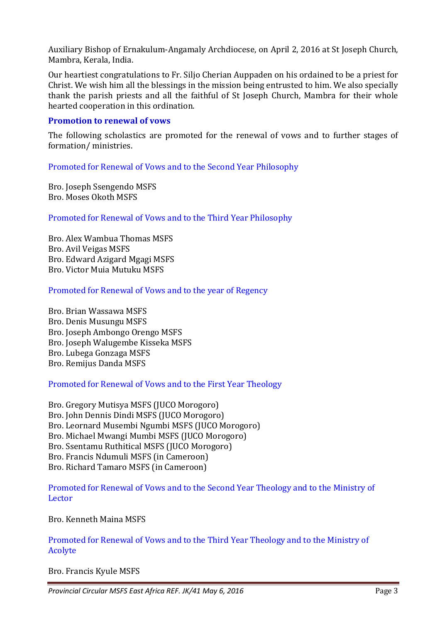Auxiliary Bishop of Ernakulum-Angamaly Archdiocese, on April 2, 2016 at St Joseph Church, Mambra, Kerala, India.

Our heartiest congratulations to Fr. Siljo Cherian Auppaden on his ordained to be a priest for Christ. We wish him all the blessings in the mission being entrusted to him. We also specially thank the parish priests and all the faithful of St Joseph Church, Mambra for their whole hearted cooperation in this ordination.

#### **Promotion to renewal of vows**

The following scholastics are promoted for the renewal of vows and to further stages of formation/ ministries.

Promoted for Renewal of Vows and to the Second Year Philosophy

Bro. Joseph Ssengendo MSFS Bro. Moses Okoth MSFS

Promoted for Renewal of Vows and to the Third Year Philosophy

Bro. Alex Wambua Thomas MSFS Bro. Avil Veigas MSFS Bro. Edward Azigard Mgagi MSFS Bro. Victor Muia Mutuku MSFS

Promoted for Renewal of Vows and to the year of Regency

Bro. Brian Wassawa MSFS Bro. Denis Musungu MSFS Bro. Joseph Ambongo Orengo MSFS Bro. Joseph Walugembe Kisseka MSFS Bro. Lubega Gonzaga MSFS Bro. Remijus Danda MSFS

Promoted for Renewal of Vows and to the First Year Theology

Bro. Gregory Mutisya MSFS (JUCO Morogoro) Bro. John Dennis Dindi MSFS (JUCO Morogoro) Bro. Leornard Musembi Ngumbi MSFS (JUCO Morogoro) Bro. Michael Mwangi Mumbi MSFS (JUCO Morogoro) Bro. Ssentamu Ruthitical MSFS (JUCO Morogoro) Bro. Francis Ndumuli MSFS (in Cameroon) Bro. Richard Tamaro MSFS (in Cameroon)

Promoted for Renewal of Vows and to the Second Year Theology and to the Ministry of Lector

Bro. Kenneth Maina MSFS

Promoted for Renewal of Vows and to the Third Year Theology and to the Ministry of Acolyte

Bro. Francis Kyule MSFS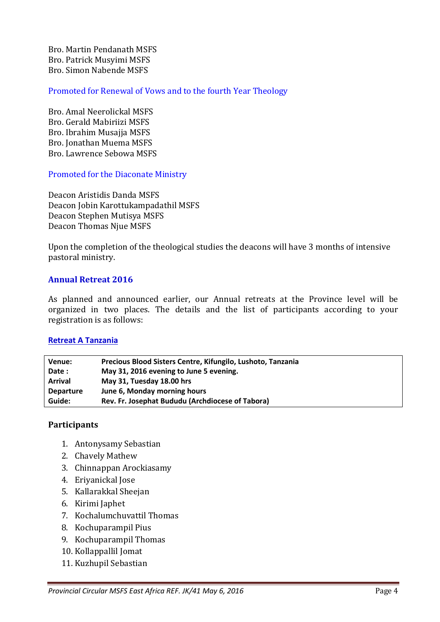Bro. Martin Pendanath MSFS Bro. Patrick Musyimi MSFS Bro. Simon Nabende MSFS

Promoted for Renewal of Vows and to the fourth Year Theology

Bro. Amal Neerolickal MSFS Bro. Gerald Mabiriizi MSFS Bro. Ibrahim Musajja MSFS Bro. Jonathan Muema MSFS Bro. Lawrence Sebowa MSFS

Promoted for the Diaconate Ministry

Deacon Aristidis Danda MSFS Deacon Jobin Karottukampadathil MSFS Deacon Stephen Mutisya MSFS Deacon Thomas Njue MSFS

Upon the completion of the theological studies the deacons will have 3 months of intensive pastoral ministry.

# **Annual Retreat 2016**

As planned and announced earlier, our Annual retreats at the Province level will be organized in two places. The details and the list of participants according to your registration is as follows:

#### **Retreat A Tanzania**

| Venue:           | Precious Blood Sisters Centre, Kifungilo, Lushoto, Tanzania |
|------------------|-------------------------------------------------------------|
| Date:            | May 31, 2016 evening to June 5 evening.                     |
| <b>Arrival</b>   | May 31, Tuesday 18.00 hrs                                   |
| <b>Departure</b> | June 6, Monday morning hours                                |
| Guide:           | Rev. Fr. Josephat Bududu (Archdiocese of Tabora)            |

#### **Participants**

- 1. Antonysamy Sebastian
- 2. Chavely Mathew
- 3. Chinnappan Arockiasamy
- 4. Eriyanickal Jose
- 5. Kallarakkal Sheejan
- 6. Kirimi Japhet
- 7. Kochalumchuvattil Thomas
- 8. Kochuparampil Pius
- 9. Kochuparampil Thomas
- 10. Kollappallil Jomat
- 11. Kuzhupil Sebastian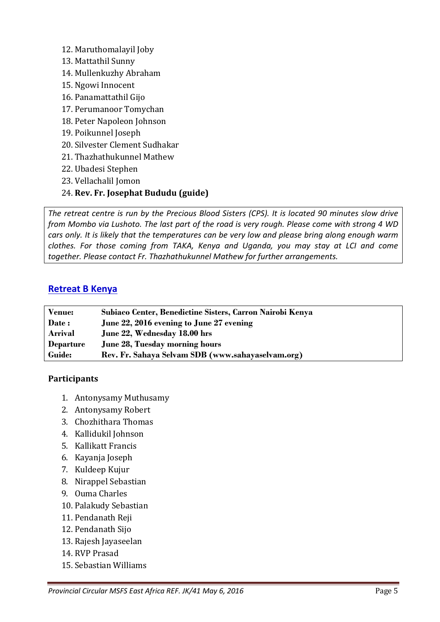- 12. Maruthomalayil Joby
- 13. Mattathil Sunny
- 14. Mullenkuzhy Abraham
- 15. Ngowi Innocent
- 16. Panamattathil Gijo
- 17. Perumanoor Tomychan
- 18. Peter Napoleon Johnson
- 19. Poikunnel Joseph
- 20. Silvester Clement Sudhakar
- 21. Thazhathukunnel Mathew
- 22. Ubadesi Stephen
- 23. Vellachalil Jomon
- 24. **Rev. Fr. Josephat Bududu (guide)**

*The retreat centre is run by the Precious Blood Sisters (CPS). It is located 90 minutes slow drive from Mombo via Lushoto. The last part of the road is very rough. Please come with strong 4 WD cars only. It is likely that the temperatures can be very low and please bring along enough warm clothes. For those coming from TAKA, Kenya and Uganda, you may stay at LCI and come together. Please contact Fr. Thazhathukunnel Mathew for further arrangements.* 

# **Retreat B Kenya**

| <b>Venue:</b>    | Subiaco Center, Benedictine Sisters, Carron Nairobi Kenya |
|------------------|-----------------------------------------------------------|
| Date:            | June 22, 2016 evening to June 27 evening                  |
| Arrival          | June 22, Wednesday 18.00 hrs                              |
| <b>Departure</b> | <b>June 28, Tuesday morning hours</b>                     |
| Guide:           | Rev. Fr. Sahaya Selvam SDB (www.sahayaselvam.org)         |

# **Participants**

- 1. Antonysamy Muthusamy
- 2. Antonysamy Robert
- 3. Chozhithara Thomas
- 4. Kallidukil Johnson
- 5. Kallikatt Francis
- 6. Kayanja Joseph
- 7. Kuldeep Kujur
- 8. Nirappel Sebastian
- 9. Ouma Charles
- 10. Palakudy Sebastian
- 11. Pendanath Reji
- 12. Pendanath Sijo
- 13. Rajesh Jayaseelan
- 14. RVP Prasad
- 15. Sebastian Williams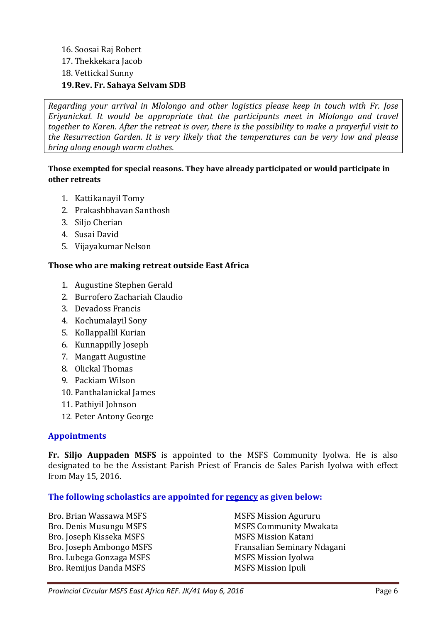# 16. Soosai Raj Robert 17. Thekkekara Jacob 18. Vettickal Sunny **19.Rev. Fr. Sahaya Selvam SDB**

*Regarding your arrival in Mlolongo and other logistics please keep in touch with Fr. Jose Eriyanickal. It would be appropriate that the participants meet in Mlolongo and travel together to Karen. After the retreat is over, there is the possibility to make a prayerful visit to the Resurrection Garden. It is very likely that the temperatures can be very low and please bring along enough warm clothes.* 

#### **Those exempted for special reasons. They have already participated or would participate in other retreats**

- 1. Kattikanayil Tomy
- 2. Prakashbhavan Santhosh
- 3. Siljo Cherian
- 4. Susai David
- 5. Vijayakumar Nelson

#### **Those who are making retreat outside East Africa**

- 1. Augustine Stephen Gerald
- 2. Burrofero Zachariah Claudio
- 3. Devadoss Francis
- 4. Kochumalayil Sony
- 5. Kollappallil Kurian
- 6. Kunnappilly Joseph
- 7. Mangatt Augustine
- 8. Olickal Thomas
- 9. Packiam Wilson
- 10. Panthalanickal James
- 11. Pathiyil Johnson
- 12. Peter Antony George

#### **Appointments**

**Fr. Siljo Auppaden MSFS** is appointed to the MSFS Community Iyolwa. He is also designated to be the Assistant Parish Priest of Francis de Sales Parish Iyolwa with effect from May 15, 2016.

#### **The following scholastics are appointed for regency as given below:**

Bro. Brian Wassawa MSFS Mission Agururu Bro. Joseph Kisseka MSFS Mission Katani Bro. Lubega Gonzaga MSFS MSFS Mission Iyolwa Bro. Remijus Danda MSFS Mission Ipuli

Bro. Denis Musungu MSFS MSFS MSFS Community Mwakata Bro. Joseph Ambongo MSFS Fransalian Seminary Ndagani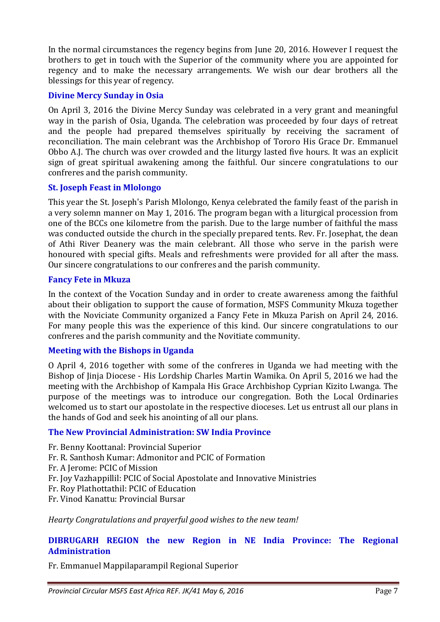In the normal circumstances the regency begins from June 20, 2016. However I request the brothers to get in touch with the Superior of the community where you are appointed for regency and to make the necessary arrangements. We wish our dear brothers all the blessings for this year of regency.

# **Divine Mercy Sunday in Osia**

On April 3, 2016 the Divine Mercy Sunday was celebrated in a very grant and meaningful way in the parish of Osia, Uganda. The celebration was proceeded by four days of retreat and the people had prepared themselves spiritually by receiving the sacrament of reconciliation. The main celebrant was the Archbishop of Tororo His Grace Dr. Emmanuel Obbo A.J. The church was over crowded and the liturgy lasted five hours. It was an explicit sign of great spiritual awakening among the faithful. Our sincere congratulations to our confreres and the parish community.

#### **St. Joseph Feast in Mlolongo**

This year the St. Joseph's Parish Mlolongo, Kenya celebrated the family feast of the parish in a very solemn manner on May 1, 2016. The program began with a liturgical procession from one of the BCCs one kilometre from the parish. Due to the large number of faithful the mass was conducted outside the church in the specially prepared tents. Rev. Fr. Josephat, the dean of Athi River Deanery was the main celebrant. All those who serve in the parish were honoured with special gifts. Meals and refreshments were provided for all after the mass. Our sincere congratulations to our confreres and the parish community.

# **Fancy Fete in Mkuza**

In the context of the Vocation Sunday and in order to create awareness among the faithful about their obligation to support the cause of formation, MSFS Community Mkuza together with the Noviciate Community organized a Fancy Fete in Mkuza Parish on April 24, 2016. For many people this was the experience of this kind. Our sincere congratulations to our confreres and the parish community and the Novitiate community.

#### **Meeting with the Bishops in Uganda**

O April 4, 2016 together with some of the confreres in Uganda we had meeting with the Bishop of Jinja Diocese - His Lordship Charles Martin Wamika. On April 5, 2016 we had the meeting with the Archbishop of Kampala His Grace Archbishop Cyprian Kizito Lwanga. The purpose of the meetings was to introduce our congregation. Both the Local Ordinaries welcomed us to start our apostolate in the respective dioceses. Let us entrust all our plans in the hands of God and seek his anointing of all our plans.

# **The New Provincial Administration: SW India Province**

- Fr. Benny Koottanal: Provincial Superior
- Fr. R. Santhosh Kumar: Admonitor and PCIC of Formation
- Fr. A Jerome: PCIC of Mission
- Fr. Joy Vazhappillil: PCIC of Social Apostolate and Innovative Ministries
- Fr. Roy Plathottathil: PCIC of Education
- Fr. Vinod Kanattu: Provincial Bursar

*Hearty Congratulations and prayerful good wishes to the new team!* 

# **DIBRUGARH REGION the new Region in NE India Province: The Regional Administration**

Fr. Emmanuel Mappilaparampil Regional Superior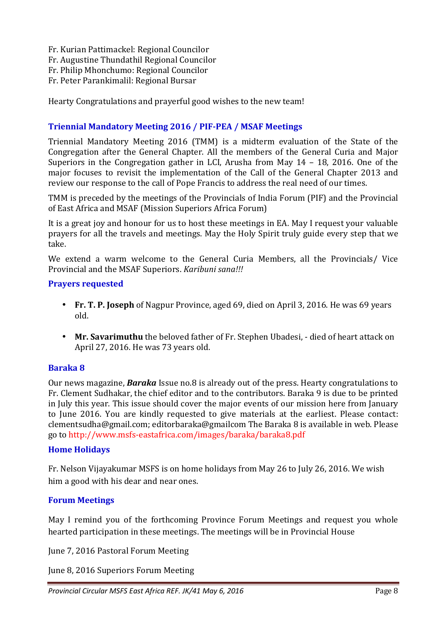Fr. Kurian Pattimackel: Regional Councilor

Fr. Augustine Thundathil Regional Councilor

Fr. Philip Mhonchumo: Regional Councilor

Fr. Peter Parankimalil: Regional Bursar

Hearty Congratulations and prayerful good wishes to the new team!

# **Triennial Mandatory Meeting 2016 / PIF-PEA / MSAF Meetings**

Triennial Mandatory Meeting 2016 (TMM) is a midterm evaluation of the State of the Congregation after the General Chapter. All the members of the General Curia and Major Superiors in the Congregation gather in LCI, Arusha from May 14 – 18, 2016. One of the major focuses to revisit the implementation of the Call of the General Chapter 2013 and review our response to the call of Pope Francis to address the real need of our times.

TMM is preceded by the meetings of the Provincials of India Forum (PIF) and the Provincial of East Africa and MSAF (Mission Superiors Africa Forum)

It is a great joy and honour for us to host these meetings in EA. May I request your valuable prayers for all the travels and meetings. May the Holy Spirit truly guide every step that we take.

We extend a warm welcome to the General Curia Members, all the Provincials/ Vice Provincial and the MSAF Superiors. *Karibuni sana!!!*

# **Prayers requested**

- **Fr. T. P. Joseph** of Nagpur Province, aged 69, died on April 3, 2016. He was 69 years old.
- **Mr. Savarimuthu** the beloved father of Fr. Stephen Ubadesi, died of heart attack on April 27, 2016. He was 73 years old.

# **Baraka 8**

Our news magazine, *Baraka* Issue no.8 is already out of the press. Hearty congratulations to Fr. Clement Sudhakar, the chief editor and to the contributors. Baraka 9 is due to be printed in July this year. This issue should cover the major events of our mission here from January to June 2016. You are kindly requested to give materials at the earliest. Please contact: clementsudha@gmail.com; editorbaraka@gmailcom The Baraka 8 is available in web. Please go to http://www.msfs-eastafrica.com/images/baraka/baraka8.pdf

#### **Home Holidays**

Fr. Nelson Vijayakumar MSFS is on home holidays from May 26 to July 26, 2016. We wish him a good with his dear and near ones.

# **Forum Meetings**

May I remind you of the forthcoming Province Forum Meetings and request you whole hearted participation in these meetings. The meetings will be in Provincial House

June 7, 2016 Pastoral Forum Meeting

June 8, 2016 Superiors Forum Meeting